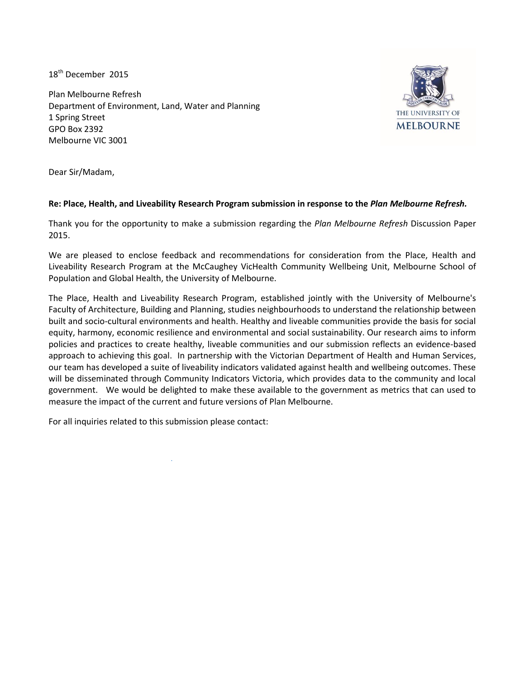18<sup>th</sup> December 2015

Plan Melbourne Refresh Department of Environment, Land, Water and Planning 1 Spring Street GPO Box 2392 Melbourne VIC 3001



Dear Sir/Madam,

### **Re: Place, Health, and Liveability Research Program submission in response to the** *Plan Melbourne Refresh.*

Thank you for the opportunity to make a submission regarding the *Plan Melbourne Refresh* Discussion Paper 2015.

We are pleased to enclose feedback and recommendations for consideration from the Place, Health and Liveability Research Program at the McCaughey VicHealth Community Wellbeing Unit, Melbourne School of Population and Global Health, the University of Melbourne.

The Place, Health and Liveability Research Program, established jointly with the University of Melbourne's Faculty of Architecture, Building and Planning, studies neighbourhoods to understand the relationship between built and socio-cultural environments and health. Healthy and liveable communities provide the basis for social equity, harmony, economic resilience and environmental and social sustainability. Our research aims to inform policies and practices to create healthy, liveable communities and our submission reflects an evidence-based approach to achieving this goal. In partnership with the Victorian Department of Health and Human Services, our team has developed a suite of liveability indicators validated against health and wellbeing outcomes. These will be disseminated through Community Indicators Victoria, which provides data to the community and local government. We would be delighted to make these available to the government as metrics that can used to measure the impact of the current and future versions of Plan Melbourne.

For all inquiries related to this submission please contact: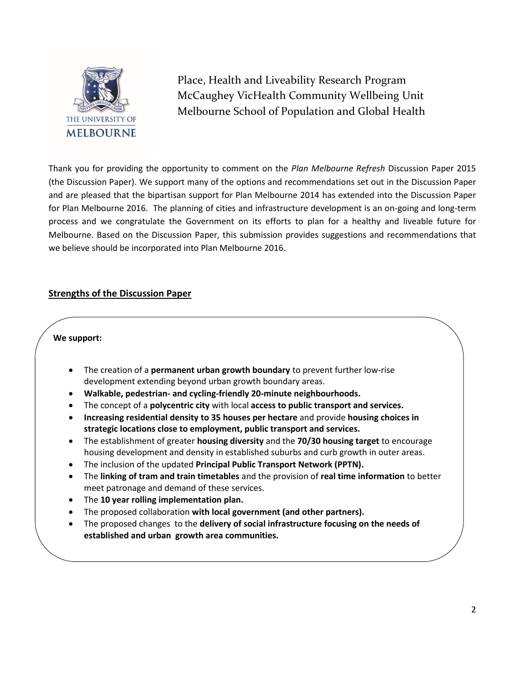

Place, Health and Liveability Research Program McCaughey VicHealth Community Wellbeing Unit Melbourne School of Population and Global Health

Thank you for providing the opportunity to comment on the *Plan Melbourne Refresh* Discussion Paper 2015 (the Discussion Paper). We support many of the options and recommendations set out in the Discussion Paper and are pleased that the bipartisan support for Plan Melbourne 2014 has extended into the Discussion Paper for Plan Melbourne 2016. The planning of cities and infrastructure development is an on-going and long-term process and we congratulate the Government on its efforts to plan for a healthy and liveable future for Melbourne. Based on the Discussion Paper, this submission provides suggestions and recommendations that we believe should be incorporated into Plan Melbourne 2016.

## **Strengths of the Discussion Paper**

#### **We support:**

- The creation of a **permanent urban growth boundary** to prevent further low-rise development extending beyond urban growth boundary areas.
- **Walkable, pedestrian- and cycling-friendly 20-minute neighbourhoods.**
- The concept of a **polycentric city** with local **access to public transport and services.**
- **Increasing residential density to 35 houses per hectare** and provide **housing choices in strategic locations close to employment, public transport and services.**
- The establishment of greater **housing diversity** and the **70/30 housing target** to encourage housing development and density in established suburbs and curb growth in outer areas.
- The inclusion of the updated **Principal Public Transport Network (PPTN).**
- The **linking of tram and train timetables** and the provision of **real time information** to better meet patronage and demand of these services.
- The **10 year rolling implementation plan.**
- The proposed collaboration **with local government (and other partners).**
- The proposed changes to the **delivery of social infrastructure focusing on the needs of established and urban growth area communities.**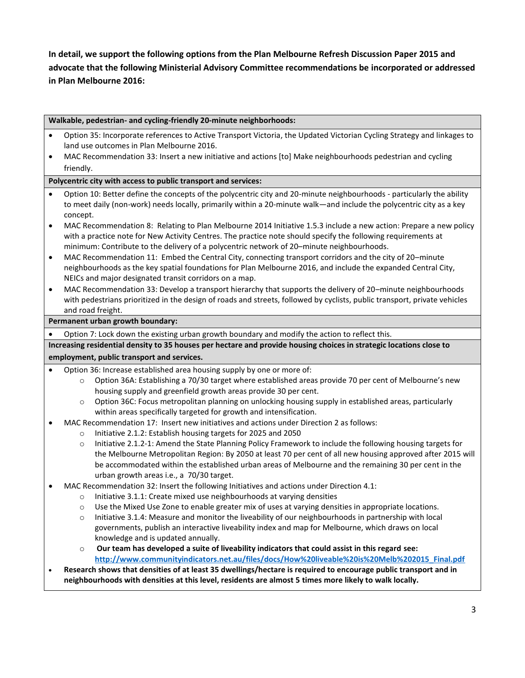**In detail, we support the following options from the Plan Melbourne Refresh Discussion Paper 2015 and advocate that the following Ministerial Advisory Committee recommendations be incorporated or addressed in Plan Melbourne 2016:** 

#### **Walkable, pedestrian- and cycling-friendly 20-minute neighborhoods:**

- Option 35: Incorporate references to Active Transport Victoria, the Updated Victorian Cycling Strategy and linkages to land use outcomes in Plan Melbourne 2016.
- MAC Recommendation 33: Insert a new initiative and actions [to] Make neighbourhoods pedestrian and cycling friendly.

#### **Polycentric city with access to public transport and services:**

- Option 10: Better define the concepts of the polycentric city and 20-minute neighbourhoods particularly the ability to meet daily (non-work) needs locally, primarily within a 20-minute walk—and include the polycentric city as a key concept.
- MAC Recommendation 8: Relating to Plan Melbourne 2014 Initiative 1.5.3 include a new action: Prepare a new policy with a practice note for New Activity Centres. The practice note should specify the following requirements at minimum: Contribute to the delivery of a polycentric network of 20–minute neighbourhoods.
- MAC Recommendation 11: Embed the Central City, connecting transport corridors and the city of 20–minute neighbourhoods as the key spatial foundations for Plan Melbourne 2016, and include the expanded Central City, NEICs and major designated transit corridors on a map.
- MAC Recommendation 33: Develop a transport hierarchy that supports the delivery of 20–minute neighbourhoods with pedestrians prioritized in the design of roads and streets, followed by cyclists, public transport, private vehicles and road freight.

#### **Permanent urban growth boundary:**

Option 7: Lock down the existing urban growth boundary and modify the action to reflect this.

### **Increasing residential density to 35 houses per hectare and provide housing choices in strategic locations close to employment, public transport and services.**

- Option 36: Increase established area housing supply by one or more of:
	- o Option 36A: Establishing a 70/30 target where established areas provide 70 per cent of Melbourne's new housing supply and greenfield growth areas provide 30 per cent.
	- o Option 36C: Focus metropolitan planning on unlocking housing supply in established areas, particularly within areas specifically targeted for growth and intensification.
- MAC Recommendation 17: Insert new initiatives and actions under Direction 2 as follows:
	- o Initiative 2.1.2: Establish housing targets for 2025 and 2050
		- o Initiative 2.1.2-1: Amend the State Planning Policy Framework to include the following housing targets for the Melbourne Metropolitan Region: By 2050 at least 70 per cent of all new housing approved after 2015 will be accommodated within the established urban areas of Melbourne and the remaining 30 per cent in the urban growth areas i.e., a 70/30 target.
- MAC Recommendation 32: Insert the following Initiatives and actions under Direction 4.1:
	- o Initiative 3.1.1: Create mixed use neighbourhoods at varying densities
	- o Use the Mixed Use Zone to enable greater mix of uses at varying densities in appropriate locations.
	- $\circ$  Initiative 3.1.4: Measure and monitor the liveability of our neighbourhoods in partnership with local governments, publish an interactive liveability index and map for Melbourne, which draws on local knowledge and is updated annually.
	- o **Our team has developed a suite of liveability indicators that could assist in this regard see: [http://www.communityindicators.net.au/files/docs/How%20liveable%20is%20Melb%202015\\_Final.pdf](http://www.communityindicators.net.au/files/docs/How%20liveable%20is%20Melb%202015_Final.pdf)**
- **Research shows that densities of at least 35 dwellings/hectare is required to encourage public transport and in neighbourhoods with densities at this level, residents are almost 5 times more likely to walk locally.**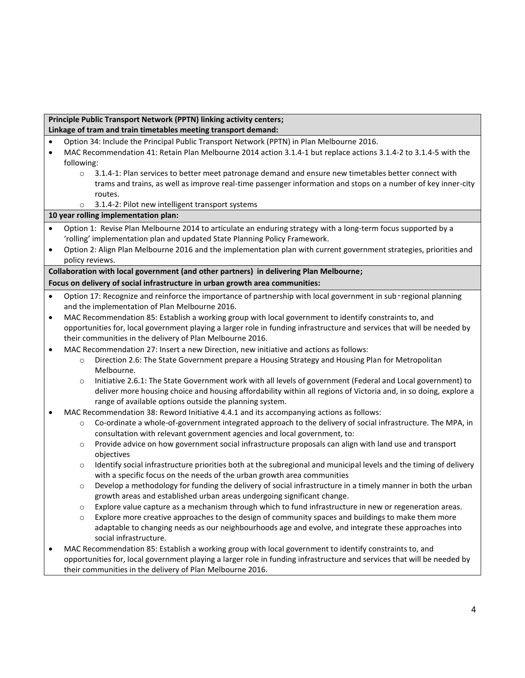#### **Principle Public Transport Network (PPTN) linking activity centers; Linkage of tram and train timetables meeting transport demand:**

- Option 34: Include the Principal Public Transport Network (PPTN) in Plan Melbourne 2016.
- MAC Recommendation 41: Retain Plan Melbourne 2014 action 3.1.4-1 but replace actions 3.1.4-2 to 3.1.4-5 with the following:
	- $\circ$  3.1.4-1: Plan services to better meet patronage demand and ensure new timetables better connect with trams and trains, as well as improve real-time passenger information and stops on a number of key inner-city routes.
	- o 3.1.4-2: Pilot new intelligent transport systems

**10 year rolling implementation plan:** 

- Option 1: Revise Plan Melbourne 2014 to articulate an enduring strategy with a long-term focus supported by a 'rolling' implementation plan and updated State Planning Policy Framework.
- Option 2: Align Plan Melbourne 2016 and the implementation plan with current government strategies, priorities and policy reviews.

### **Collaboration with local government (and other partners) in delivering Plan Melbourne; Focus on delivery of social infrastructure in urban growth area communities:**

- Option 17: Recognize and reinforce the importance of partnership with local government in sub‑regional planning and the implementation of Plan Melbourne 2016.
- MAC Recommendation 85: Establish a working group with local government to identify constraints to, and opportunities for, local government playing a larger role in funding infrastructure and services that will be needed by their communities in the delivery of Plan Melbourne 2016.
- MAC Recommendation 27: Insert a new Direction, new initiative and actions as follows:
	- o Direction 2.6: The State Government prepare a Housing Strategy and Housing Plan for Metropolitan Melbourne.
	- o Initiative 2.6.1: The State Government work with all levels of government (Federal and Local government) to deliver more housing choice and housing affordability within all regions of Victoria and, in so doing, explore a range of available options outside the planning system.
- MAC Recommendation 38: Reword Initiative 4.4.1 and its accompanying actions as follows:
	- Co-ordinate a whole-of-government integrated approach to the delivery of social infrastructure. The MPA, in consultation with relevant government agencies and local government, to:
	- o Provide advice on how government social infrastructure proposals can align with land use and transport objectives
	- $\circ$  Identify social infrastructure priorities both at the subregional and municipal levels and the timing of delivery with a specific focus on the needs of the urban growth area communities
	- $\circ$  Develop a methodology for funding the delivery of social infrastructure in a timely manner in both the urban growth areas and established urban areas undergoing significant change.
	- $\circ$  Explore value capture as a mechanism through which to fund infrastructure in new or regeneration areas.
	- $\circ$  Explore more creative approaches to the design of community spaces and buildings to make them more adaptable to changing needs as our neighbourhoods age and evolve, and integrate these approaches into social infrastructure.
- MAC Recommendation 85: Establish a working group with local government to identify constraints to, and opportunities for, local government playing a larger role in funding infrastructure and services that will be needed by their communities in the delivery of Plan Melbourne 2016.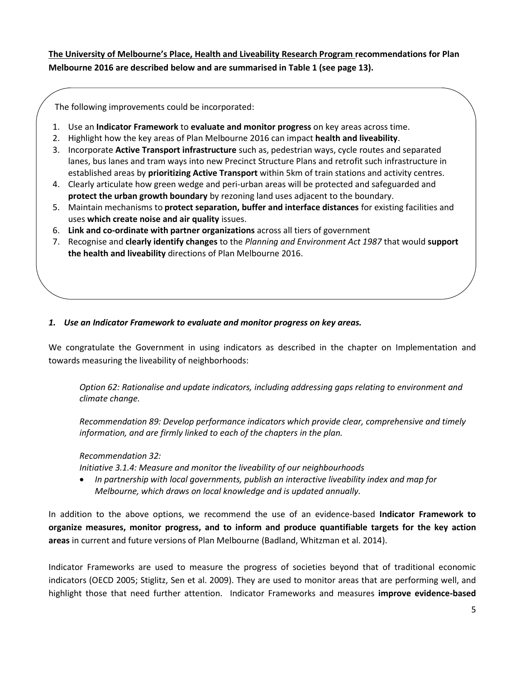**The University of Melbourne's Place, Health and Liveability Research Program recommendations for Plan Melbourne 2016 are described below and are summarised in Table 1 (see page 13).**

The following improvements could be incorporated:

- 1. Use an **Indicator Framework** to **evaluate and monitor progress** on key areas across time.
- 2. Highlight how the key areas of Plan Melbourne 2016 can impact **health and liveability**.
- 3. Incorporate **Active Transport infrastructure** such as, pedestrian ways, cycle routes and separated lanes, bus lanes and tram ways into new Precinct Structure Plans and retrofit such infrastructure in established areas by **prioritizing Active Transport** within 5km of train stations and activity centres.
- 4. Clearly articulate how green wedge and peri-urban areas will be protected and safeguarded and **protect the urban growth boundary** by rezoning land uses adjacent to the boundary.
- 5. Maintain mechanisms to **protect separation, buffer and interface distances** for existing facilities and uses **which create noise and air quality** issues.
- 6. **Link and co-ordinate with partner organizations** across all tiers of government
- 7. Recognise and **clearly identify changes** to the *Planning and Environment Act 1987* that would **support the health and liveability** directions of Plan Melbourne 2016.

### *1. Use an Indicator Framework to evaluate and monitor progress on key areas.*

We congratulate the Government in using indicators as described in the chapter on Implementation and towards measuring the liveability of neighborhoods:

*Option 62: Rationalise and update indicators, including addressing gaps relating to environment and climate change.*

*Recommendation 89: Develop performance indicators which provide clear, comprehensive and timely information, and are firmly linked to each of the chapters in the plan.*

### *Recommendation 32:*

*Initiative 3.1.4: Measure and monitor the liveability of our neighbourhoods*

 *In partnership with local governments, publish an interactive liveability index and map for Melbourne, which draws on local knowledge and is updated annually.*

In addition to the above options, we recommend the use of an evidence-based **Indicator Framework to organize measures, monitor progress, and to inform and produce quantifiable targets for the key action areas** in current and future versions of Plan Melbourne [\(Badland, Whitzman et al. 2014\)](#page-14-0).

Indicator Frameworks are used to measure the progress of societies beyond that of traditional economic indicators [\(OECD 2005;](#page-14-1) [Stiglitz, Sen et al. 2009\)](#page-15-0). They are used to monitor areas that are performing well, and highlight those that need further attention. Indicator Frameworks and measures **improve evidence-based**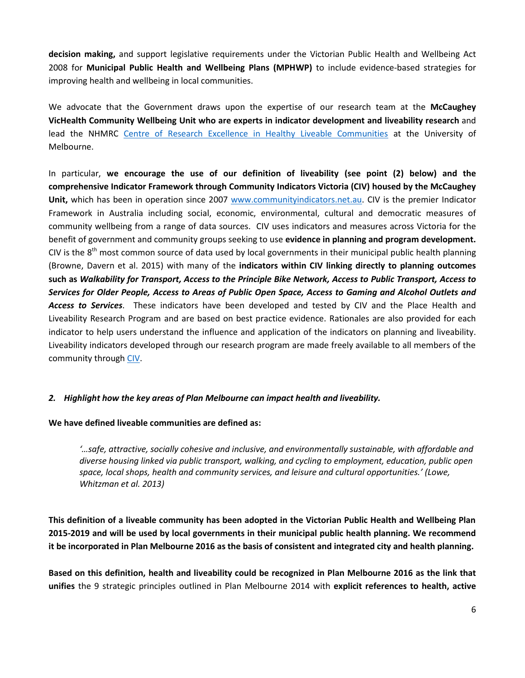**decision making,** and support legislative requirements under the Victorian Public Health and Wellbeing Act 2008 for **Municipal Public Health and Wellbeing Plans (MPHWP)** to include evidence-based strategies for improving health and wellbeing in local communities.

We advocate that the Government draws upon the expertise of our research team at the **McCaughey VicHealth Community Wellbeing Unit who are experts in indicator development and liveability research** and lead the NHMRC [Centre of Research Excellence in Healthy Liveable Communities](http://mccaughey.unimelb.edu.au/programs/cre) at the University of Melbourne.

In particular, **we encourage the use of our definition of liveability (see point (2) below) and the comprehensive Indicator Framework through Community Indicators Victoria (CIV) housed by the McCaughey**  Unit, which has been in operation since 2007 [www.communityindicators.net.au.](file:///C:/Users/chapmaam/AppData/AppData/Local/Microsoft/Windows/Temporary%20Internet%20Files/abarr1/Downloads/www.communityindicators.net.au) CIV is the premier Indicator Framework in Australia including social, economic, environmental, cultural and democratic measures of community wellbeing from a range of data sources. CIV uses indicators and measures across Victoria for the benefit of government and community groups seeking to use **evidence in planning and program development.** CIV is the  $8<sup>th</sup>$  most common source of data used by local governments in their municipal public health planning [\(Browne, Davern et al. 2015\)](#page-14-2) with many of the **indicators within CIV linking directly to planning outcomes such as** *Walkability for Transport, Access to the Principle Bike Network, Access to Public Transport, Access to Services for Older People, Access to Areas of Public Open Space, Access to Gaming and Alcohol Outlets and Access to Services*. These indicators have been developed and tested by CIV and the Place Health and Liveability Research Program and are based on best practice evidence. Rationales are also provided for each indicator to help users understand the influence and application of the indicators on planning and liveability. Liveability indicators developed through our research program are made freely available to all members of the community through [CIV.](http://www.communityindicators.net.au/)

## *2. Highlight how the key areas of Plan Melbourne can impact health and liveability.*

### **We have defined liveable communities are defined as:**

*'…safe, attractive, socially cohesive and inclusive, and environmentally sustainable, with affordable and diverse housing linked via public transport, walking, and cycling to employment, education, public open space, local shops, health and community services, and leisure and cultural opportunities.' [\(Lowe,](#page-14-3)  [Whitzman et al. 2013\)](#page-14-3)*

**This definition of a liveable community has been adopted in the Victorian Public Health and Wellbeing Plan 2015-2019 and will be used by local governments in their municipal public health planning. We recommend it be incorporated in Plan Melbourne 2016 as the basis of consistent and integrated city and health planning.**

**Based on this definition, health and liveability could be recognized in Plan Melbourne 2016 as the link that unifies** the 9 strategic principles outlined in Plan Melbourne 2014 with **explicit references to health, active**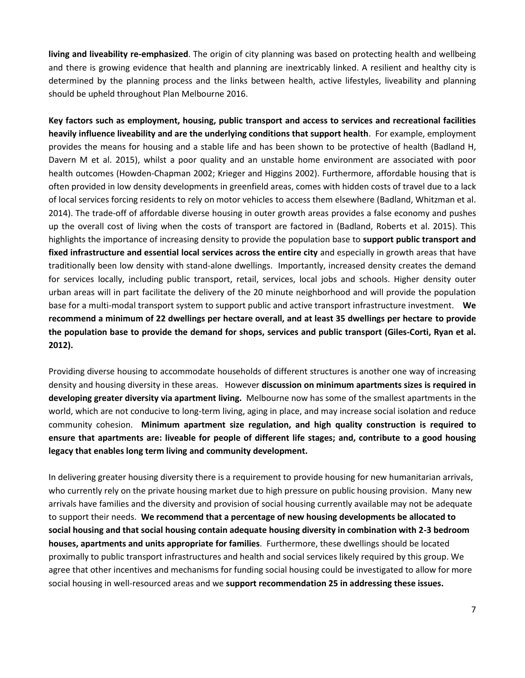**living and liveability re-emphasized**. The origin of city planning was based on protecting health and wellbeing and there is growing evidence that health and planning are inextricably linked. A resilient and healthy city is determined by the planning process and the links between health, active lifestyles, liveability and planning should be upheld throughout Plan Melbourne 2016.

**Key factors such as employment, housing, public transport and access to services and recreational facilities heavily influence liveability and are the underlying conditions that support health**. For example, employment provides the means for housing and a stable life and has been shown to be protective of health [\(Badland H,](#page-14-4)  [Davern M et al. 2015\)](#page-14-4), whilst a poor quality and an unstable home environment are associated with poor health outcomes [\(Howden-Chapman 2002;](#page-14-5) [Krieger and Higgins 2002\)](#page-14-6). Furthermore, affordable housing that is often provided in low density developments in greenfield areas, comes with hidden costs of travel due to a lack of local services forcing residents to rely on motor vehicles to access them elsewhere [\(Badland, Whitzman et al.](#page-14-7)  [2014\)](#page-14-7). The trade-off of affordable diverse housing in outer growth areas provides a false economy and pushes up the overall cost of living when the costs of transport are factored in [\(Badland, Roberts et al. 2015\)](#page-14-8). This highlights the importance of increasing density to provide the population base to **support public transport and fixed infrastructure and essential local services across the entire city** and especially in growth areas that have traditionally been low density with stand-alone dwellings. Importantly, increased density creates the demand for services locally, including public transport, retail, services, local jobs and schools. Higher density outer urban areas will in part facilitate the delivery of the 20 minute neighborhood and will provide the population base for a multi-modal transport system to support public and active transport infrastructure investment. **We recommend a minimum of 22 dwellings per hectare overall, and at least 35 dwellings per hectare to provide the population base to provide the demand for shops, services and public transport [\(Giles-Corti, Ryan et al.](#page-14-9)  [2012\)](#page-14-9).**

Providing diverse housing to accommodate households of different structures is another one way of increasing density and housing diversity in these areas. However **discussion on minimum apartments sizes is required in developing greater diversity via apartment living.** Melbourne now has some of the smallest apartments in the world, which are not conducive to long-term living, aging in place, and may increase social isolation and reduce community cohesion. **Minimum apartment size regulation, and high quality construction is required to ensure that apartments are: liveable for people of different life stages; and, contribute to a good housing legacy that enables long term living and community development.**

In delivering greater housing diversity there is a requirement to provide housing for new humanitarian arrivals, who currently rely on the private housing market due to high pressure on public housing provision. Many new arrivals have families and the diversity and provision of social housing currently available may not be adequate to support their needs. **We recommend that a percentage of new housing developments be allocated to social housing and that social housing contain adequate housing diversity in combination with 2-3 bedroom houses, apartments and units appropriate for families**. Furthermore, these dwellings should be located proximally to public transport infrastructures and health and social services likely required by this group. We agree that other incentives and mechanisms for funding social housing could be investigated to allow for more social housing in well-resourced areas and we **support recommendation 25 in addressing these issues.**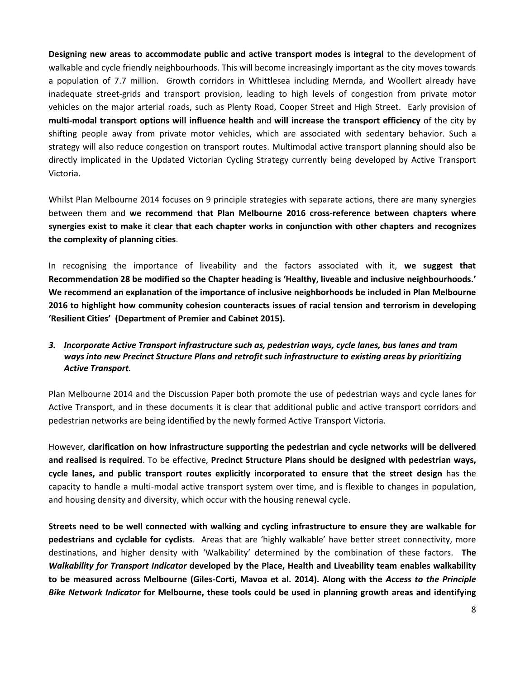**Designing new areas to accommodate public and active transport modes is integral** to the development of walkable and cycle friendly neighbourhoods. This will become increasingly important as the city moves towards a population of 7.7 million. Growth corridors in Whittlesea including Mernda, and Woollert already have inadequate street-grids and transport provision, leading to high levels of congestion from private motor vehicles on the major arterial roads, such as Plenty Road, Cooper Street and High Street. Early provision of **multi-modal transport options will influence health** and **will increase the transport efficiency** of the city by shifting people away from private motor vehicles, which are associated with sedentary behavior. Such a strategy will also reduce congestion on transport routes. Multimodal active transport planning should also be directly implicated in the Updated Victorian Cycling Strategy currently being developed by Active Transport Victoria.

Whilst Plan Melbourne 2014 focuses on 9 principle strategies with separate actions, there are many synergies between them and **we recommend that Plan Melbourne 2016 cross-reference between chapters where synergies exist to make it clear that each chapter works in conjunction with other chapters and recognizes the complexity of planning cities**.

In recognising the importance of liveability and the factors associated with it, **we suggest that Recommendation 28 be modified so the Chapter heading is 'Healthy, liveable and inclusive neighbourhoods.' We recommend an explanation of the importance of inclusive neighborhoods be included in Plan Melbourne 2016 to highlight how community cohesion counteracts issues of racial tension and terrorism in developing 'Resilient Cities' [\(Department of Premier and Cabinet 2015\)](#page-14-10).** 

## *3. Incorporate Active Transport infrastructure such as, pedestrian ways, cycle lanes, bus lanes and tram ways into new Precinct Structure Plans and retrofit such infrastructure to existing areas by prioritizing Active Transport.*

Plan Melbourne 2014 and the Discussion Paper both promote the use of pedestrian ways and cycle lanes for Active Transport, and in these documents it is clear that additional public and active transport corridors and pedestrian networks are being identified by the newly formed Active Transport Victoria.

However, **clarification on how infrastructure supporting the pedestrian and cycle networks will be delivered and realised is required**. To be effective, **Precinct Structure Plans should be designed with pedestrian ways, cycle lanes, and public transport routes explicitly incorporated to ensure that the street design** has the capacity to handle a multi-modal active transport system over time, and is flexible to changes in population, and housing density and diversity, which occur with the housing renewal cycle.

**Streets need to be well connected with walking and cycling infrastructure to ensure they are walkable for pedestrians and cyclable for cyclists**. Areas that are 'highly walkable' have better street connectivity, more destinations, and higher density with 'Walkability' determined by the combination of these factors. **The**  *Walkability for Transport Indicator* **developed by the Place, Health and Liveability team enables walkability to be measured across Melbourne [\(Giles-Corti, Mavoa et al. 2014\)](#page-14-11). Along with the** *Access to the Principle Bike Network Indicator* **for Melbourne, these tools could be used in planning growth areas and identifying**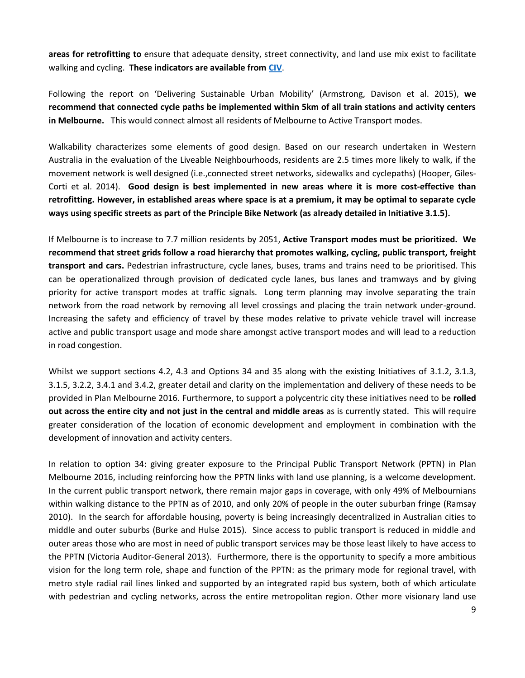**areas for retrofitting to** ensure that adequate density, street connectivity, and land use mix exist to facilitate walking and cycling. **These indicators are available from [CIV](http://www.communityindicators.net.au/)**.

Following the report on 'Delivering Sustainable Urban Mobility' [\(Armstrong, Davison et al. 2015\)](#page-14-12), **we recommend that connected cycle paths be implemented within 5km of all train stations and activity centers in Melbourne.** This would connect almost all residents of Melbourne to Active Transport modes.

Walkability characterizes some elements of good design. Based on our research undertaken in Western Australia in the evaluation of the Liveable Neighbourhoods, residents are 2.5 times more likely to walk, if the movement network is well designed (i.e.,connected street networks, sidewalks and cyclepaths) [\(Hooper, Giles-](#page-14-13)[Corti et al. 2014\)](#page-14-13). **Good design is best implemented in new areas where it is more cost-effective than retrofitting. However, in established areas where space is at a premium, it may be optimal to separate cycle ways using specific streets as part of the Principle Bike Network (as already detailed in Initiative 3.1.5).**

If Melbourne is to increase to 7.7 million residents by 2051, **Active Transport modes must be prioritized. We recommend that street grids follow a road hierarchy that promotes walking, cycling, public transport, freight transport and cars.** Pedestrian infrastructure, cycle lanes, buses, trams and trains need to be prioritised. This can be operationalized through provision of dedicated cycle lanes, bus lanes and tramways and by giving priority for active transport modes at traffic signals. Long term planning may involve separating the train network from the road network by removing all level crossings and placing the train network under-ground. Increasing the safety and efficiency of travel by these modes relative to private vehicle travel will increase active and public transport usage and mode share amongst active transport modes and will lead to a reduction in road congestion.

Whilst we support sections 4.2, 4.3 and Options 34 and 35 along with the existing Initiatives of 3.1.2, 3.1.3, 3.1.5, 3.2.2, 3.4.1 and 3.4.2, greater detail and clarity on the implementation and delivery of these needs to be provided in Plan Melbourne 2016. Furthermore, to support a polycentric city these initiatives need to be **rolled out across the entire city and not just in the central and middle areas** as is currently stated. This will require greater consideration of the location of economic development and employment in combination with the development of innovation and activity centers.

In relation to option 34: giving greater exposure to the Principal Public Transport Network (PPTN) in Plan Melbourne 2016, including reinforcing how the PPTN links with land use planning, is a welcome development. In the current public transport network, there remain major gaps in coverage, with only 49% of Melbournians within walking distance to the PPTN as of 2010, and only 20% of people in the outer suburban fringe [\(Ramsay](#page-15-1)  [2010\)](#page-15-1). In the search for affordable housing, poverty is being increasingly decentralized in Australian cities to middle and outer suburbs [\(Burke and Hulse 2015\)](#page-14-14). Since access to public transport is reduced in middle and outer areas those who are most in need of public transport services may be those least likely to have access to the PPTN [\(Victoria Auditor-General 2013\)](#page-15-2). Furthermore, there is the opportunity to specify a more ambitious vision for the long term role, shape and function of the PPTN: as the primary mode for regional travel, with metro style radial rail lines linked and supported by an integrated rapid bus system, both of which articulate with pedestrian and cycling networks, across the entire metropolitan region. Other more visionary land use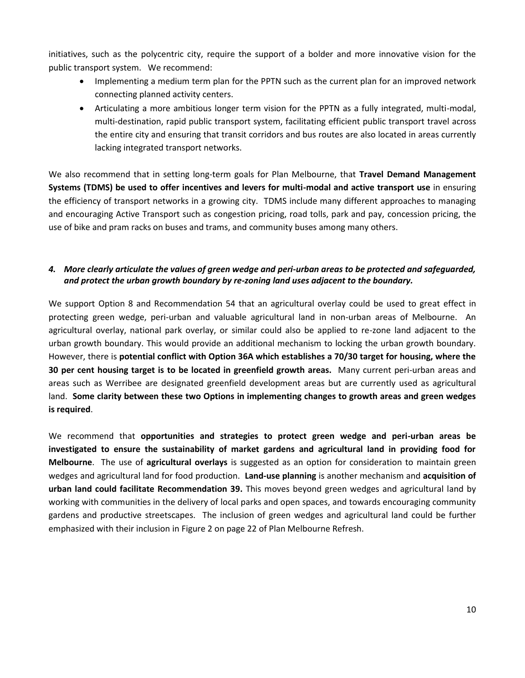initiatives, such as the polycentric city, require the support of a bolder and more innovative vision for the public transport system. We recommend:

- Implementing a medium term plan for the PPTN such as the current plan for an improved network connecting planned activity centers.
- Articulating a more ambitious longer term vision for the PPTN as a fully integrated, multi-modal, multi-destination, rapid public transport system, facilitating efficient public transport travel across the entire city and ensuring that transit corridors and bus routes are also located in areas currently lacking integrated transport networks.

We also recommend that in setting long-term goals for Plan Melbourne, that **Travel Demand Management Systems (TDMS) be used to offer incentives and levers for multi-modal and active transport use** in ensuring the efficiency of transport networks in a growing city. TDMS include many different approaches to managing and encouraging Active Transport such as congestion pricing, road tolls, park and pay, concession pricing, the use of bike and pram racks on buses and trams, and community buses among many others.

## *4. More clearly articulate the values of green wedge and peri-urban areas to be protected and safeguarded, and protect the urban growth boundary by re-zoning land uses adjacent to the boundary.*

We support Option 8 and Recommendation 54 that an agricultural overlay could be used to great effect in protecting green wedge, peri-urban and valuable agricultural land in non-urban areas of Melbourne. An agricultural overlay, national park overlay, or similar could also be applied to re-zone land adjacent to the urban growth boundary. This would provide an additional mechanism to locking the urban growth boundary. However, there is **potential conflict with Option 36A which establishes a 70/30 target for housing, where the 30 per cent housing target is to be located in greenfield growth areas.** Many current peri-urban areas and areas such as Werribee are designated greenfield development areas but are currently used as agricultural land. **Some clarity between these two Options in implementing changes to growth areas and green wedges is required**.

We recommend that **opportunities and strategies to protect green wedge and peri-urban areas be investigated to ensure the sustainability of market gardens and agricultural land in providing food for Melbourne**. The use of **agricultural overlays** is suggested as an option for consideration to maintain green wedges and agricultural land for food production. **Land-use planning** is another mechanism and **acquisition of urban land could facilitate Recommendation 39.** This moves beyond green wedges and agricultural land by working with communities in the delivery of local parks and open spaces, and towards encouraging community gardens and productive streetscapes. The inclusion of green wedges and agricultural land could be further emphasized with their inclusion in Figure 2 on page 22 of Plan Melbourne Refresh.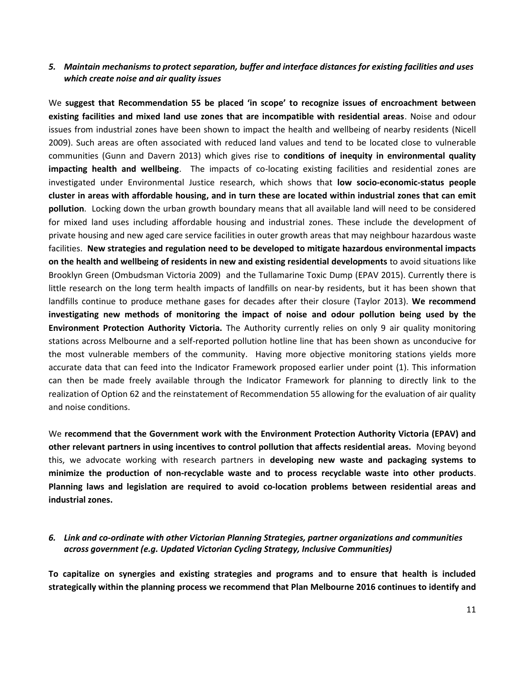### *5. Maintain mechanisms to protect separation, buffer and interface distances for existing facilities and uses which create noise and air quality issues*

We **suggest that Recommendation 55 be placed 'in scope' to recognize issues of encroachment between existing facilities and mixed land use zones that are incompatible with residential areas**. Noise and odour issues from industrial zones have been shown to impact the health and wellbeing of nearby residents [\(Nicell](#page-14-15)  [2009\)](#page-14-15). Such areas are often associated with reduced land values and tend to be located close to vulnerable communities [\(Gunn and Davern 2013\)](#page-14-16) which gives rise to **conditions of inequity in environmental quality impacting health and wellbeing**. The impacts of co-locating existing facilities and residential zones are investigated under Environmental Justice research, which shows that **low socio-economic-status people cluster in areas with affordable housing, and in turn these are located within industrial zones that can emit pollution**. Locking down the urban growth boundary means that all available land will need to be considered for mixed land uses including affordable housing and industrial zones. These include the development of private housing and new aged care service facilities in outer growth areas that may neighbour hazardous waste facilities. **New strategies and regulation need to be developed to mitigate hazardous environmental impacts on the health and wellbeing of residents in new and existing residential developments** to avoid situations like Brooklyn Green [\(Ombudsman Victoria 2009\)](#page-15-3) and the Tullamarine Toxic Dump [\(EPAV 2015\)](#page-14-17). Currently there is little research on the long term health impacts of landfills on near-by residents, but it has been shown that landfills continue to produce methane gases for decades after their closure [\(Taylor 2013\)](#page-15-4). **We recommend investigating new methods of monitoring the impact of noise and odour pollution being used by the Environment Protection Authority Victoria.** The Authority currently relies on only 9 air quality monitoring stations across Melbourne and a self-reported pollution hotline line that has been shown as unconducive for the most vulnerable members of the community. Having more objective monitoring stations yields more accurate data that can feed into the Indicator Framework proposed earlier under point (1). This information can then be made freely available through the Indicator Framework for planning to directly link to the realization of Option 62 and the reinstatement of Recommendation 55 allowing for the evaluation of air quality and noise conditions.

We **recommend that the Government work with the Environment Protection Authority Victoria (EPAV) and other relevant partners in using incentives to control pollution that affects residential areas.** Moving beyond this, we advocate working with research partners in **developing new waste and packaging systems to minimize the production of non-recyclable waste and to process recyclable waste into other products**. **Planning laws and legislation are required to avoid co-location problems between residential areas and industrial zones.**

### *6. Link and co-ordinate with other Victorian Planning Strategies, partner organizations and communities across government (e.g. Updated Victorian Cycling Strategy, Inclusive Communities)*

**To capitalize on synergies and existing strategies and programs and to ensure that health is included strategically within the planning process we recommend that Plan Melbourne 2016 continues to identify and**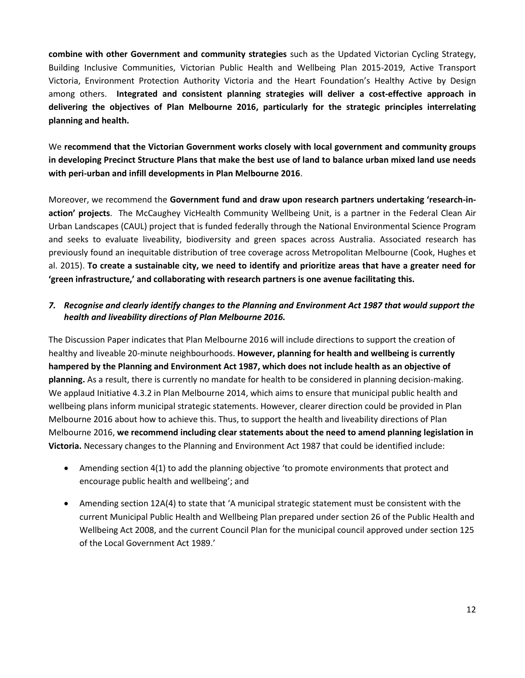**combine with other Government and community strategies** such as the Updated Victorian Cycling Strategy, Building Inclusive Communities, Victorian Public Health and Wellbeing Plan 2015-2019, Active Transport Victoria, Environment Protection Authority Victoria and the Heart Foundation's Healthy Active by Design among others. **Integrated and consistent planning strategies will deliver a cost-effective approach in delivering the objectives of Plan Melbourne 2016, particularly for the strategic principles interrelating planning and health.** 

We **recommend that the Victorian Government works closely with local government and community groups in developing Precinct Structure Plans that make the best use of land to balance urban mixed land use needs with peri-urban and infill developments in Plan Melbourne 2016**.

Moreover, we recommend the **Government fund and draw upon research partners undertaking 'research-inaction' projects**. The McCaughey VicHealth Community Wellbeing Unit, is a partner in the Federal Clean Air Urban Landscapes (CAUL) project that is funded federally through the National Environmental Science Program and seeks to evaluate liveability, biodiversity and green spaces across Australia. Associated research has previously found an inequitable distribution of tree coverage across Metropolitan Melbourne [\(Cook, Hughes et](#page-14-18)  [al. 2015\)](#page-14-18). **To create a sustainable city, we need to identify and prioritize areas that have a greater need for 'green infrastructure,' and collaborating with research partners is one avenue facilitating this.**

## *7. Recognise and clearly identify changes to the Planning and Environment Act 1987 that would support the health and liveability directions of Plan Melbourne 2016.*

The Discussion Paper indicates that Plan Melbourne 2016 will include directions to support the creation of healthy and liveable 20-minute neighbourhoods. **However, planning for health and wellbeing is currently hampered by the Planning and Environment Act 1987, which does not include health as an objective of planning.** As a result, there is currently no mandate for health to be considered in planning decision-making. We applaud Initiative 4.3.2 in Plan Melbourne 2014, which aims to ensure that municipal public health and wellbeing plans inform municipal strategic statements. However, clearer direction could be provided in Plan Melbourne 2016 about how to achieve this. Thus, to support the health and liveability directions of Plan Melbourne 2016, **we recommend including clear statements about the need to amend planning legislation in Victoria.** Necessary changes to the Planning and Environment Act 1987 that could be identified include:

- Amending section 4(1) to add the planning objective 'to promote environments that protect and encourage public health and wellbeing'; and
- Amending section 12A(4) to state that 'A municipal strategic statement must be consistent with the current Municipal Public Health and Wellbeing Plan prepared under section 26 of the Public Health and Wellbeing Act 2008, and the current Council Plan for the municipal council approved under section 125 of the Local Government Act 1989.'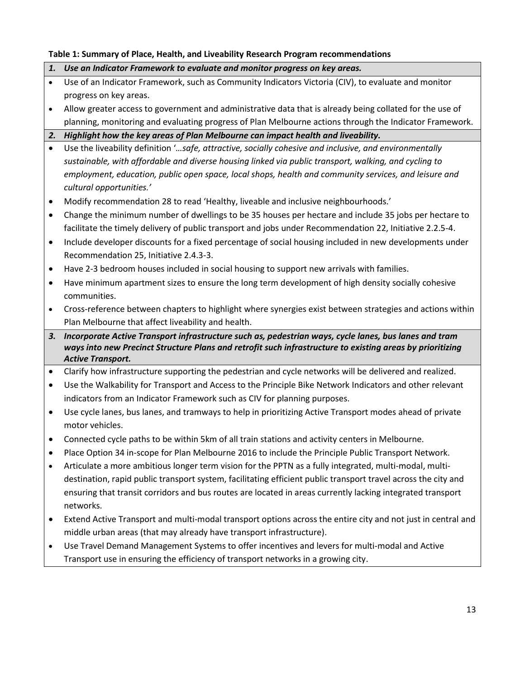# **Table 1: Summary of Place, Health, and Liveability Research Program recommendations**

| 1.        | Use an Indicator Framework to evaluate and monitor progress on key areas.                                      |
|-----------|----------------------------------------------------------------------------------------------------------------|
| $\bullet$ | Use of an Indicator Framework, such as Community Indicators Victoria (CIV), to evaluate and monitor            |
|           | progress on key areas.                                                                                         |
| $\bullet$ | Allow greater access to government and administrative data that is already being collated for the use of       |
|           | planning, monitoring and evaluating progress of Plan Melbourne actions through the Indicator Framework.        |
| 2.        | Highlight how the key areas of Plan Melbourne can impact health and liveability.                               |
| $\bullet$ | Use the liveability definition 'safe, attractive, socially cohesive and inclusive, and environmentally         |
|           | sustainable, with affordable and diverse housing linked via public transport, walking, and cycling to          |
|           | employment, education, public open space, local shops, health and community services, and leisure and          |
|           | cultural opportunities.'                                                                                       |
| $\bullet$ | Modify recommendation 28 to read 'Healthy, liveable and inclusive neighbourhoods.'                             |
| $\bullet$ | Change the minimum number of dwellings to be 35 houses per hectare and include 35 jobs per hectare to          |
|           | facilitate the timely delivery of public transport and jobs under Recommendation 22, Initiative 2.2.5-4.       |
| $\bullet$ | Include developer discounts for a fixed percentage of social housing included in new developments under        |
|           | Recommendation 25, Initiative 2.4.3-3.                                                                         |
| ٠         | Have 2-3 bedroom houses included in social housing to support new arrivals with families.                      |
| $\bullet$ | Have minimum apartment sizes to ensure the long term development of high density socially cohesive             |
|           | communities.                                                                                                   |
| $\bullet$ | Cross-reference between chapters to highlight where synergies exist between strategies and actions within      |
|           | Plan Melbourne that affect liveability and health.                                                             |
| 3.        | Incorporate Active Transport infrastructure such as, pedestrian ways, cycle lanes, bus lanes and tram          |
|           | ways into new Precinct Structure Plans and retrofit such infrastructure to existing areas by prioritizing      |
|           | <b>Active Transport.</b>                                                                                       |
| $\bullet$ | Clarify how infrastructure supporting the pedestrian and cycle networks will be delivered and realized.        |
| $\bullet$ | Use the Walkability for Transport and Access to the Principle Bike Network Indicators and other relevant       |
|           | indicators from an Indicator Framework such as CIV for planning purposes.                                      |
| $\bullet$ | Use cycle lanes, bus lanes, and tramways to help in prioritizing Active Transport modes ahead of private       |
|           | motor vehicles.                                                                                                |
| $\bullet$ | Connected cycle paths to be within 5km of all train stations and activity centers in Melbourne.                |
| $\bullet$ | Place Option 34 in-scope for Plan Melbourne 2016 to include the Principle Public Transport Network.            |
| $\bullet$ | Articulate a more ambitious longer term vision for the PPTN as a fully integrated, multi-modal, multi-         |
|           | destination, rapid public transport system, facilitating efficient public transport travel across the city and |
|           | ensuring that transit corridors and bus routes are located in areas currently lacking integrated transport     |
|           | networks.                                                                                                      |
| $\bullet$ | Extend Active Transport and multi-modal transport options across the entire city and not just in central and   |
|           | middle urban areas (that may already have transport infrastructure).                                           |
| $\bullet$ | Use Travel Demand Management Systems to offer incentives and levers for multi-modal and Active                 |
|           | Transport use in ensuring the efficiency of transport networks in a growing city.                              |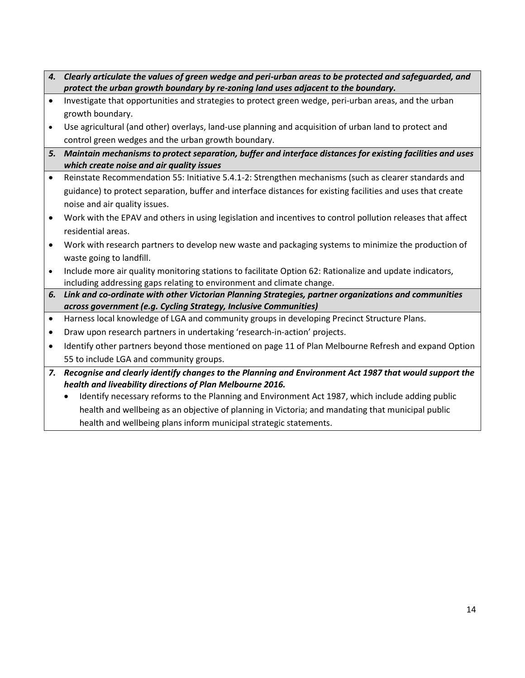- *4. Clearly articulate the values of green wedge and peri-urban areas to be protected and safeguarded, and protect the urban growth boundary by re-zoning land uses adjacent to the boundary.*
- Investigate that opportunities and strategies to protect green wedge, peri-urban areas, and the urban growth boundary.
- Use agricultural (and other) overlays, land-use planning and acquisition of urban land to protect and control green wedges and the urban growth boundary.
- *5. Maintain mechanisms to protect separation, buffer and interface distances for existing facilities and uses which create noise and air quality issues*
- Reinstate Recommendation 55: Initiative 5.4.1-2: Strengthen mechanisms (such as clearer standards and guidance) to protect separation, buffer and interface distances for existing facilities and uses that create noise and air quality issues.
- Work with the EPAV and others in using legislation and incentives to control pollution releases that affect residential areas.
- Work with research partners to develop new waste and packaging systems to minimize the production of waste going to landfill.
- Include more air quality monitoring stations to facilitate Option 62: Rationalize and update indicators, including addressing gaps relating to environment and climate change.
- *6. Link and co-ordinate with other Victorian Planning Strategies, partner organizations and communities across government (e.g. Cycling Strategy, Inclusive Communities)*
- Harness local knowledge of LGA and community groups in developing Precinct Structure Plans.
- Draw upon research partners in undertaking 'research-in-action' projects.
- Identify other partners beyond those mentioned on page 11 of Plan Melbourne Refresh and expand Option 55 to include LGA and community groups.
- *7. Recognise and clearly identify changes to the Planning and Environment Act 1987 that would support the health and liveability directions of Plan Melbourne 2016.*
	- Identify necessary reforms to the Planning and Environment Act 1987, which include adding public health and wellbeing as an objective of planning in Victoria; and mandating that municipal public health and wellbeing plans inform municipal strategic statements.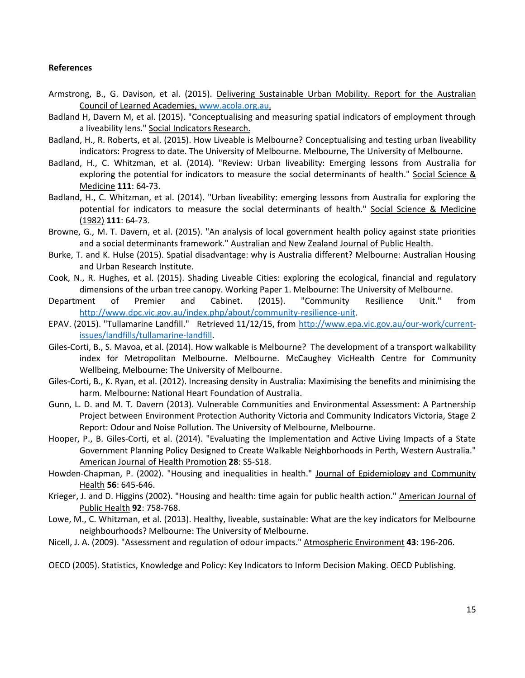#### **References**

- <span id="page-14-12"></span>Armstrong, B., G. Davison, et al. (2015). Delivering Sustainable Urban Mobility. Report for the Australian Council of Learned Academies, [www.acola.org.au.](http://www.acola.org.au/)
- <span id="page-14-4"></span>Badland H, Davern M, et al. (2015). "Conceptualising and measuring spatial indicators of employment through a liveability lens." Social Indicators Research.
- <span id="page-14-8"></span>Badland, H., R. Roberts, et al. (2015). How Liveable is Melbourne? Conceptualising and testing urban liveability indicators: Progress to date. The University of Melbourne. Melbourne, The University of Melbourne.
- <span id="page-14-0"></span>Badland, H., C. Whitzman, et al. (2014). "Review: Urban liveability: Emerging lessons from Australia for exploring the potential for indicators to measure the social determinants of health." Social Science & Medicine **111**: 64-73.
- <span id="page-14-7"></span>Badland, H., C. Whitzman, et al. (2014). "Urban liveability: emerging lessons from Australia for exploring the potential for indicators to measure the social determinants of health." Social Science & Medicine (1982) **111**: 64-73.
- <span id="page-14-2"></span>Browne, G., M. T. Davern, et al. (2015). "An analysis of local government health policy against state priorities and a social determinants framework." Australian and New Zealand Journal of Public Health.
- <span id="page-14-14"></span>Burke, T. and K. Hulse (2015). Spatial disadvantage: why is Australia different? Melbourne: Australian Housing and Urban Research Institute.
- <span id="page-14-18"></span>Cook, N., R. Hughes, et al. (2015). Shading Liveable Cities: exploring the ecological, financial and regulatory dimensions of the urban tree canopy. Working Paper 1. Melbourne: The University of Melbourne.
- <span id="page-14-10"></span>Department of Premier and Cabinet. (2015). "Community Resilience Unit." from [http://www.dpc.vic.gov.au/index.php/about/community-resilience-unit.](http://www.dpc.vic.gov.au/index.php/about/community-resilience-unit)
- <span id="page-14-17"></span>EPAV. (2015). "Tullamarine Landfill." Retrieved 11/12/15, from [http://www.epa.vic.gov.au/our-work/current](http://www.epa.vic.gov.au/our-work/current-issues/landfills/tullamarine-landfill)[issues/landfills/tullamarine-landfill.](http://www.epa.vic.gov.au/our-work/current-issues/landfills/tullamarine-landfill)
- <span id="page-14-11"></span>Giles-Corti, B., S. Mavoa, et al. (2014). How walkable is Melbourne? The development of a transport walkability index for Metropolitan Melbourne. Melbourne. McCaughey VicHealth Centre for Community Wellbeing, Melbourne: The University of Melbourne.
- <span id="page-14-9"></span>Giles-Corti, B., K. Ryan, et al. (2012). Increasing density in Australia: Maximising the benefits and minimising the harm. Melbourne: National Heart Foundation of Australia.
- <span id="page-14-16"></span>Gunn, L. D. and M. T. Davern (2013). Vulnerable Communities and Environmental Assessment: A Partnership Project between Environment Protection Authority Victoria and Community Indicators Victoria, Stage 2 Report: Odour and Noise Pollution. The University of Melbourne, Melbourne.
- <span id="page-14-13"></span>Hooper, P., B. Giles-Corti, et al. (2014). "Evaluating the Implementation and Active Living Impacts of a State Government Planning Policy Designed to Create Walkable Neighborhoods in Perth, Western Australia." American Journal of Health Promotion **28**: S5-S18.
- <span id="page-14-5"></span>Howden-Chapman, P. (2002). "Housing and inequalities in health." Journal of Epidemiology and Community Health **56**: 645-646.
- <span id="page-14-6"></span>Krieger, J. and D. Higgins (2002). "Housing and health: time again for public health action." American Journal of Public Health **92**: 758-768.
- <span id="page-14-3"></span>Lowe, M., C. Whitzman, et al. (2013). Healthy, liveable, sustainable: What are the key indicators for Melbourne neighbourhoods? Melbourne: The University of Melbourne.
- <span id="page-14-15"></span>Nicell, J. A. (2009). "Assessment and regulation of odour impacts." Atmospheric Environment **43**: 196-206.
- <span id="page-14-1"></span>OECD (2005). Statistics, Knowledge and Policy: Key Indicators to Inform Decision Making. OECD Publishing.